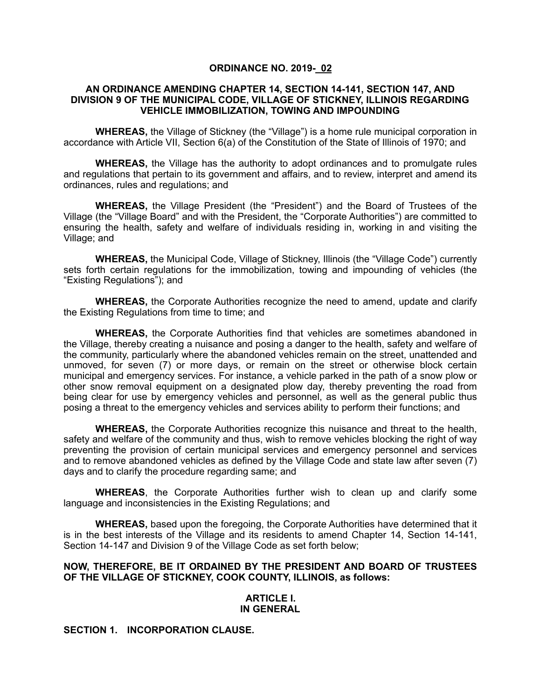### **ORDINANCE NO. 2019- 02**

#### **AN ORDINANCE AMENDING CHAPTER 14, SECTION 14-141, SECTION 147, AND DIVISION 9 OF THE MUNICIPAL CODE, VILLAGE OF STICKNEY, ILLINOIS REGARDING VEHICLE IMMOBILIZATION, TOWING AND IMPOUNDING**

**WHEREAS,** the Village of Stickney (the "Village") is a home rule municipal corporation in accordance with Article VII, Section 6(a) of the Constitution of the State of Illinois of 1970; and

**WHEREAS,** the Village has the authority to adopt ordinances and to promulgate rules and regulations that pertain to its government and affairs, and to review, interpret and amend its ordinances, rules and regulations; and

**WHEREAS,** the Village President (the "President") and the Board of Trustees of the Village (the "Village Board" and with the President, the "Corporate Authorities") are committed to ensuring the health, safety and welfare of individuals residing in, working in and visiting the Village; and

**WHEREAS,** the Municipal Code, Village of Stickney, Illinois (the "Village Code") currently sets forth certain regulations for the immobilization, towing and impounding of vehicles (the "Existing Regulations"); and

**WHEREAS,** the Corporate Authorities recognize the need to amend, update and clarify the Existing Regulations from time to time; and

**WHEREAS,** the Corporate Authorities find that vehicles are sometimes abandoned in the Village, thereby creating a nuisance and posing a danger to the health, safety and welfare of the community, particularly where the abandoned vehicles remain on the street, unattended and unmoved, for seven (7) or more days, or remain on the street or otherwise block certain municipal and emergency services. For instance, a vehicle parked in the path of a snow plow or other snow removal equipment on a designated plow day, thereby preventing the road from being clear for use by emergency vehicles and personnel, as well as the general public thus posing a threat to the emergency vehicles and services ability to perform their functions; and

**WHEREAS,** the Corporate Authorities recognize this nuisance and threat to the health, safety and welfare of the community and thus, wish to remove vehicles blocking the right of way preventing the provision of certain municipal services and emergency personnel and services and to remove abandoned vehicles as defined by the Village Code and state law after seven (7) days and to clarify the procedure regarding same; and

**WHEREAS**, the Corporate Authorities further wish to clean up and clarify some language and inconsistencies in the Existing Regulations; and

**WHEREAS,** based upon the foregoing, the Corporate Authorities have determined that it is in the best interests of the Village and its residents to amend Chapter 14, Section 14-141, Section 14-147 and Division 9 of the Village Code as set forth below;

#### **NOW, THEREFORE, BE IT ORDAINED BY THE PRESIDENT AND BOARD OF TRUSTEES OF THE VILLAGE OF STICKNEY, COOK COUNTY, ILLINOIS, as follows:**

#### **ARTICLE I. IN GENERAL**

#### **SECTION 1. INCORPORATION CLAUSE.**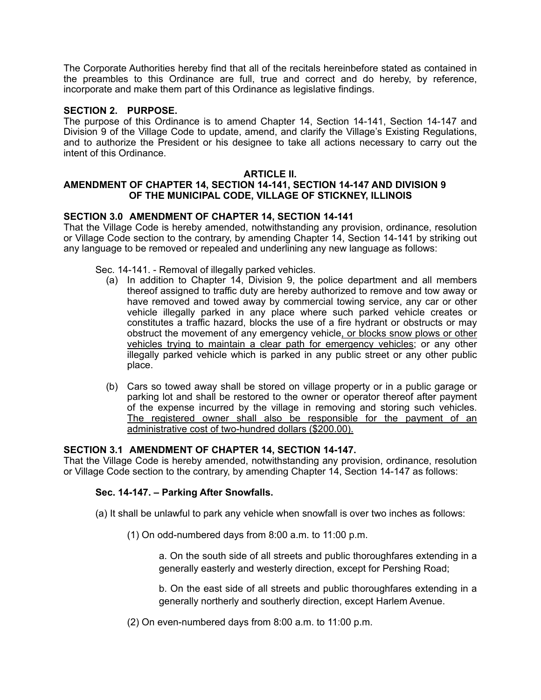The Corporate Authorities hereby find that all of the recitals hereinbefore stated as contained in the preambles to this Ordinance are full, true and correct and do hereby, by reference, incorporate and make them part of this Ordinance as legislative findings.

# **SECTION 2. PURPOSE.**

The purpose of this Ordinance is to amend Chapter 14, Section 14-141, Section 14-147 and Division 9 of the Village Code to update, amend, and clarify the Village's Existing Regulations, and to authorize the President or his designee to take all actions necessary to carry out the intent of this Ordinance.

### **ARTICLE II.**

# **AMENDMENT OF CHAPTER 14, SECTION 14-141, SECTION 14-147 AND DIVISION 9 OF THE MUNICIPAL CODE, VILLAGE OF STICKNEY, ILLINOIS**

# **SECTION 3.0 AMENDMENT OF CHAPTER 14, SECTION 14-141**

That the Village Code is hereby amended, notwithstanding any provision, ordinance, resolution or Village Code section to the contrary, by amending Chapter 14, Section 14-141 by striking out any language to be removed or repealed and underlining any new language as follows:

Sec. 14-141. - Removal of illegally parked vehicles.

- (a) In addition to Chapter 14, Division 9, the police department and all members thereof assigned to traffic duty are hereby authorized to remove and tow away or have removed and towed away by commercial towing service, any car or other vehicle illegally parked in any place where such parked vehicle creates or constitutes a traffic hazard, blocks the use of a fire hydrant or obstructs or may obstruct the movement of any emergency vehicle, or blocks snow plows or other vehicles trying to maintain a clear path for emergency vehicles; or any other illegally parked vehicle which is parked in any public street or any other public place.
- (b) Cars so towed away shall be stored on village property or in a public garage or parking lot and shall be restored to the owner or operator thereof after payment of the expense incurred by the village in removing and storing such vehicles. The registered owner shall also be responsible for the payment of an administrative cost of two-hundred dollars (\$200.00).

# **SECTION 3.1 AMENDMENT OF CHAPTER 14, SECTION 14-147.**

That the Village Code is hereby amended, notwithstanding any provision, ordinance, resolution or Village Code section to the contrary, by amending Chapter 14, Section 14-147 as follows:

# **Sec. 14-147. – Parking After Snowfalls.**

(a) It shall be unlawful to park any vehicle when snowfall is over two inches as follows:

(1) On odd-numbered days from 8:00 a.m. to 11:00 p.m.

a. On the south side of all streets and public thoroughfares extending in a generally easterly and westerly direction, except for Pershing Road;

b. On the east side of all streets and public thoroughfares extending in a generally northerly and southerly direction, except Harlem Avenue.

(2) On even-numbered days from 8:00 a.m. to 11:00 p.m.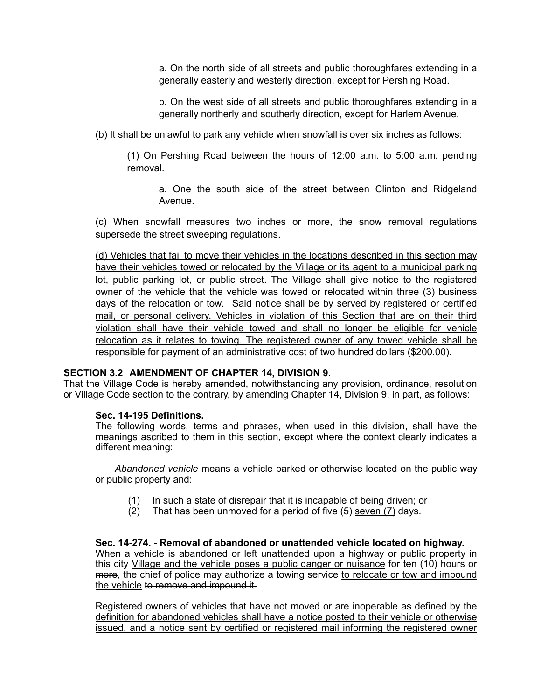a. On the north side of all streets and public thoroughfares extending in a generally easterly and westerly direction, except for Pershing Road.

b. On the west side of all streets and public thoroughfares extending in a generally northerly and southerly direction, except for Harlem Avenue.

(b) It shall be unlawful to park any vehicle when snowfall is over six inches as follows:

(1) On Pershing Road between the hours of 12:00 a.m. to 5:00 a.m. pending removal.

a. One the south side of the street between Clinton and Ridgeland Avenue.

(c) When snowfall measures two inches or more, the snow removal regulations supersede the street sweeping regulations.

(d) Vehicles that fail to move their vehicles in the locations described in this section may have their vehicles towed or relocated by the Village or its agent to a municipal parking lot, public parking lot, or public street. The Village shall give notice to the registered owner of the vehicle that the vehicle was towed or relocated within three (3) business days of the relocation or tow. Said notice shall be by served by registered or certified mail, or personal delivery. Vehicles in violation of this Section that are on their third violation shall have their vehicle towed and shall no longer be eligible for vehicle relocation as it relates to towing. The registered owner of any towed vehicle shall be responsible for payment of an administrative cost of two hundred dollars (\$200.00).

### **SECTION 3.2 AMENDMENT OF CHAPTER 14, DIVISION 9.**

That the Village Code is hereby amended, notwithstanding any provision, ordinance, resolution or Village Code section to the contrary, by amending Chapter 14, Division 9, in part, as follows:

### **Sec. 14-195 Definitions.**

The following words, terms and phrases, when used in this division, shall have the meanings ascribed to them in this section, except where the context clearly indicates a different meaning:

*Abandoned vehicle* means a vehicle parked or otherwise located on the public way or public property and:

- (1) In such a state of disrepair that it is incapable of being driven; or
- (2) That has been unmoved for a period of five  $(5)$  seven  $(7)$  days.

**Sec. 14-274. - Removal of abandoned or unattended vehicle located on highway.**  When a vehicle is abandoned or left unattended upon a highway or public property in this eity Village and the vehicle poses a public danger or nuisance for ten (10) hours or more, the chief of police may authorize a towing service to relocate or tow and impound the vehicle to remove and impound it.

Registered owners of vehicles that have not moved or are inoperable as defined by the definition for abandoned vehicles shall have a notice posted to their vehicle or otherwise issued, and a notice sent by certified or registered mail informing the registered owner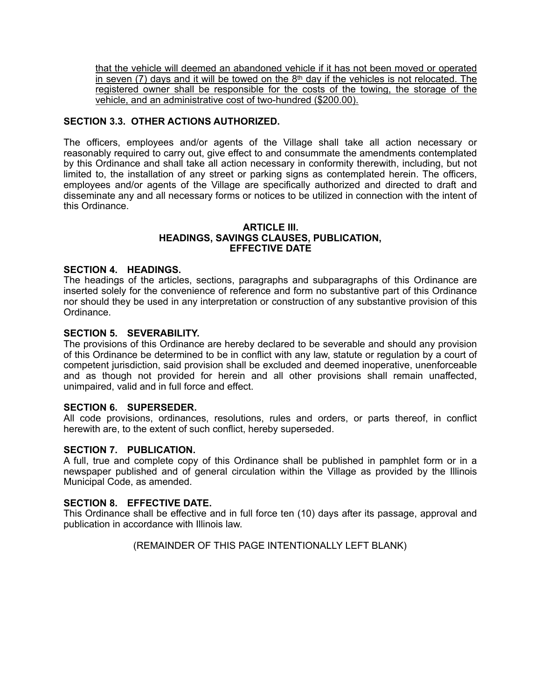that the vehicle will deemed an abandoned vehicle if it has not been moved or operated in seven (7) days and it will be towed on the 8<sup>th</sup> day if the vehicles is not relocated. The registered owner shall be responsible for the costs of the towing, the storage of the vehicle, and an administrative cost of two-hundred (\$200.00).

# **SECTION 3.3. OTHER ACTIONS AUTHORIZED.**

The officers, employees and/or agents of the Village shall take all action necessary or reasonably required to carry out, give effect to and consummate the amendments contemplated by this Ordinance and shall take all action necessary in conformity therewith, including, but not limited to, the installation of any street or parking signs as contemplated herein. The officers, employees and/or agents of the Village are specifically authorized and directed to draft and disseminate any and all necessary forms or notices to be utilized in connection with the intent of this Ordinance.

#### **ARTICLE III. HEADINGS, SAVINGS CLAUSES, PUBLICATION, EFFECTIVE DATE**

### **SECTION 4. HEADINGS.**

The headings of the articles, sections, paragraphs and subparagraphs of this Ordinance are inserted solely for the convenience of reference and form no substantive part of this Ordinance nor should they be used in any interpretation or construction of any substantive provision of this Ordinance.

### **SECTION 5. SEVERABILITY.**

The provisions of this Ordinance are hereby declared to be severable and should any provision of this Ordinance be determined to be in conflict with any law, statute or regulation by a court of competent jurisdiction, said provision shall be excluded and deemed inoperative, unenforceable and as though not provided for herein and all other provisions shall remain unaffected, unimpaired, valid and in full force and effect.

### **SECTION 6. SUPERSEDER.**

All code provisions, ordinances, resolutions, rules and orders, or parts thereof, in conflict herewith are, to the extent of such conflict, hereby superseded.

### **SECTION 7. PUBLICATION.**

A full, true and complete copy of this Ordinance shall be published in pamphlet form or in a newspaper published and of general circulation within the Village as provided by the Illinois Municipal Code, as amended.

### **SECTION 8. EFFECTIVE DATE.**

This Ordinance shall be effective and in full force ten (10) days after its passage, approval and publication in accordance with Illinois law.

(REMAINDER OF THIS PAGE INTENTIONALLY LEFT BLANK)